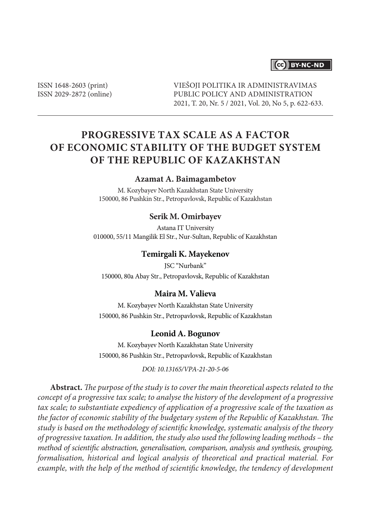## **CCO** BY-NC-ND

ISSN 1648-2603 (print) ISSN 2029-2872 (online) VIEŠOJI POLITIKA IR ADMINISTRAVIMAS PUBLIC POLICY AND ADMINISTRATION 2021, T. 20, Nr. 5 / 2021, Vol. 20, No 5, p. 622-633.

# **PROGRESSIVE TAX SCALE AS A FACTOR OF ECONOMIC STABILITY OF THE BUDGET SYSTEM OF THE REPUBLIC OF KAZAKHSTAN**

#### **Azamat A. Baimagambetov**

M. Kozybayev North Kazakhstan State University 150000, 86 Pushkin Str., Petropavlovsk, Republic of Kazakhstan

#### **Serik M. Omirbayev**

Astana IT University 010000, 55/11 Mangilik El Str., Nur-Sultan, Republic of Kazakhstan

#### **Temirgali K. Mayekenov**

JSC "Nurbank" 150000, 80a Abay Str., Petropavlovsk, Republic of Kazakhstan

#### **Maira M. Valieva**

M. Kozybayev North Kazakhstan State University 150000, 86 Pushkin Str., Petropavlovsk, Republic of Kazakhstan

#### **Leonid A. Bogunov**

M. Kozybayev North Kazakhstan State University 150000, 86 Pushkin Str., Petropavlovsk, Republic of Kazakhstan

*DOI: 10.13165/VPA-21-20-5-06*

**Abstract.** *The purpose of the study is to cover the main theoretical aspects related to the concept of a progressive tax scale; to analyse the history of the development of a progressive tax scale; to substantiate expediency of application of a progressive scale of the taxation as the factor of economic stability of the budgetary system of the Republic of Kazakhstan. The study is based on the methodology of scientific knowledge, systematic analysis of the theory of progressive taxation. In addition, the study also used the following leading methods – the method of scientific abstraction, generalisation, comparison, analysis and synthesis, grouping, formalisation, historical and logical analysis of theoretical and practical material. For example, with the help of the method of scientific knowledge, the tendency of development*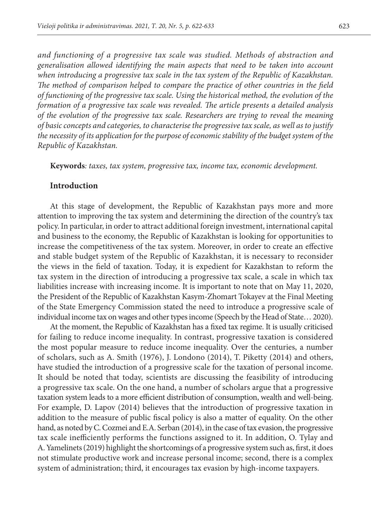*and functioning of a progressive tax scale was studied. Methods of abstraction and generalisation allowed identifying the main aspects that need to be taken into account when introducing a progressive tax scale in the tax system of the Republic of Kazakhstan. The method of comparison helped to compare the practice of other countries in the field of functioning of the progressive tax scale. Using the historical method, the evolution of the formation of a progressive tax scale was revealed. The article presents a detailed analysis of the evolution of the progressive tax scale. Researchers are trying to reveal the meaning of basic concepts and categories, to characterise the progressive tax scale, as well as to justify the necessity of its application for the purpose of economic stability of the budget system of the Republic of Kazakhstan.*

**Keywords***: taxes, tax system, progressive tax, income tax, economic development.*

#### **Introduction**

At this stage of development, the Republic of Kazakhstan pays more and more attention to improving the tax system and determining the direction of the country's tax policy. In particular, in order to attract additional foreign investment, international capital and business to the economy, the Republic of Kazakhstan is looking for opportunities to increase the competitiveness of the tax system. Moreover, in order to create an effective and stable budget system of the Republic of Kazakhstan, it is necessary to reconsider the views in the field of taxation. Today, it is expedient for Kazakhstan to reform the tax system in the direction of introducing a progressive tax scale, a scale in which tax liabilities increase with increasing income. It is important to note that on May 11, 2020, the President of the Republic of Kazakhstan Kasym-Zhomart Tokayev at the Final Meeting of the State Emergency Commission stated the need to introduce a progressive scale of individual income tax on wages and other types income (Speech by the Head of State… 2020).

At the moment, the Republic of Kazakhstan has a fixed tax regime. It is usually criticised for failing to reduce income inequality. In contrast, progressive taxation is considered the most popular measure to reduce income inequality. Over the centuries, a number of scholars, such as A. Smith (1976), J. Londono (2014), T. Piketty (2014) and others, have studied the introduction of a progressive scale for the taxation of personal income. It should be noted that today, scientists are discussing the feasibility of introducing a progressive tax scale. On the one hand, a number of scholars argue that a progressive taxation system leads to a more efficient distribution of consumption, wealth and well-being. For example, D. Lapov (2014) believes that the introduction of progressive taxation in addition to the measure of public fiscal policy is also a matter of equality. On the other hand, as noted by C. Cozmei and E.A. Serban (2014), in the case of tax evasion, the progressive tax scale inefficiently performs the functions assigned to it. In addition, O. Tylay and A. Yamelinets (2019) highlight the shortcomings of a progressive system such as, first, it does not stimulate productive work and increase personal income; second, there is a complex system of administration; third, it encourages tax evasion by high-income taxpayers.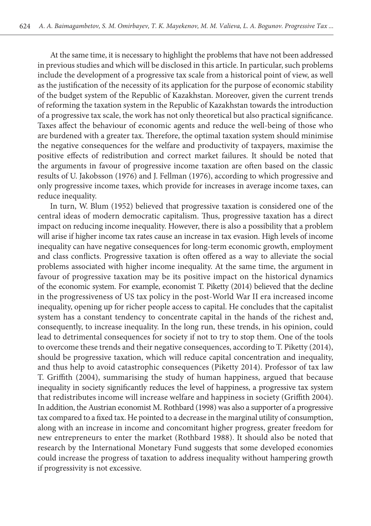At the same time, it is necessary to highlight the problems that have not been addressed in previous studies and which will be disclosed in this article. In particular, such problems include the development of a progressive tax scale from a historical point of view, as well as the justification of the necessity of its application for the purpose of economic stability of the budget system of the Republic of Kazakhstan. Moreover, given the current trends of reforming the taxation system in the Republic of Kazakhstan towards the introduction of a progressive tax scale, the work has not only theoretical but also practical significance. Taxes affect the behaviour of economic agents and reduce the well-being of those who are burdened with a greater tax. Therefore, the optimal taxation system should minimise the negative consequences for the welfare and productivity of taxpayers, maximise the positive effects of redistribution and correct market failures. It should be noted that the arguments in favour of progressive income taxation are often based on the classic results of U. Jakobsson (1976) and J. Fellman (1976), according to which progressive and only progressive income taxes, which provide for increases in average income taxes, can reduce inequality.

In turn, W. Blum (1952) believed that progressive taxation is considered one of the central ideas of modern democratic capitalism. Thus, progressive taxation has a direct impact on reducing income inequality. However, there is also a possibility that a problem will arise if higher income tax rates cause an increase in tax evasion. High levels of income inequality can have negative consequences for long-term economic growth, employment and class conflicts. Progressive taxation is often offered as a way to alleviate the social problems associated with higher income inequality. At the same time, the argument in favour of progressive taxation may be its positive impact on the historical dynamics of the economic system. For example, economist T. Piketty (2014) believed that the decline in the progressiveness of US tax policy in the post-World War II era increased income inequality, opening up for richer people access to capital. He concludes that the capitalist system has a constant tendency to concentrate capital in the hands of the richest and, consequently, to increase inequality. In the long run, these trends, in his opinion, could lead to detrimental consequences for society if not to try to stop them. One of the tools to overcome these trends and their negative consequences, according to T. Piketty (2014), should be progressive taxation, which will reduce capital concentration and inequality, and thus help to avoid catastrophic consequences (Piketty 2014). Professor of tax law T. Griffith (2004), summarising the study of human happiness, argued that because inequality in society significantly reduces the level of happiness, a progressive tax system that redistributes income will increase welfare and happiness in society (Griffith 2004). In addition, the Austrian economist M. Rothbard (1998) was also a supporter of a progressive tax compared to a fixed tax. He pointed to a decrease in the marginal utility of consumption, along with an increase in income and concomitant higher progress, greater freedom for new entrepreneurs to enter the market (Rothbard 1988). It should also be noted that research by the International Monetary Fund suggests that some developed economies could increase the progress of taxation to address inequality without hampering growth if progressivity is not excessive.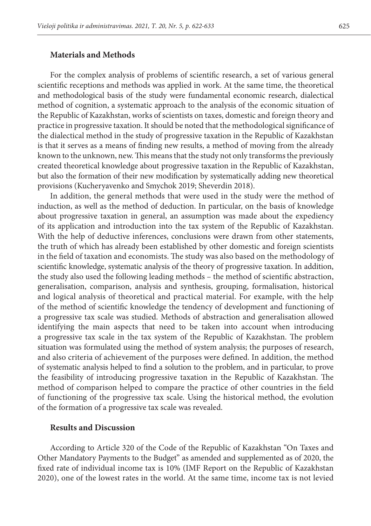#### **Materials and Methods**

For the complex analysis of problems of scientific research, a set of various general scientific receptions and methods was applied in work. At the same time, the theoretical and methodological basis of the study were fundamental economic research, dialectical method of cognition, a systematic approach to the analysis of the economic situation of the Republic of Kazakhstan, works of scientists on taxes, domestic and foreign theory and practice in progressive taxation. It should be noted that the methodological significance of the dialectical method in the study of progressive taxation in the Republic of Kazakhstan is that it serves as a means of finding new results, a method of moving from the already known to the unknown, new. This means that the study not only transforms the previously created theoretical knowledge about progressive taxation in the Republic of Kazakhstan, but also the formation of their new modification by systematically adding new theoretical provisions (Kucheryavenko and Smychok 2019; Sheverdin 2018).

In addition, the general methods that were used in the study were the method of induction, as well as the method of deduction. In particular, on the basis of knowledge about progressive taxation in general, an assumption was made about the expediency of its application and introduction into the tax system of the Republic of Kazakhstan. With the help of deductive inferences, conclusions were drawn from other statements, the truth of which has already been established by other domestic and foreign scientists in the field of taxation and economists. The study was also based on the methodology of scientific knowledge, systematic analysis of the theory of progressive taxation. In addition, the study also used the following leading methods – the method of scientific abstraction, generalisation, comparison, analysis and synthesis, grouping, formalisation, historical and logical analysis of theoretical and practical material. For example, with the help of the method of scientific knowledge the tendency of development and functioning of a progressive tax scale was studied. Methods of abstraction and generalisation allowed identifying the main aspects that need to be taken into account when introducing a progressive tax scale in the tax system of the Republic of Kazakhstan. The problem situation was formulated using the method of system analysis; the purposes of research, and also criteria of achievement of the purposes were defined. In addition, the method of systematic analysis helped to find a solution to the problem, and in particular, to prove the feasibility of introducing progressive taxation in the Republic of Kazakhstan. The method of comparison helped to compare the practice of other countries in the field of functioning of the progressive tax scale. Using the historical method, the evolution of the formation of a progressive tax scale was revealed.

#### **Results and Discussion**

According to Article 320 of the Code of the Republic of Kazakhstan "On Taxes and Other Mandatory Payments to the Budget" as amended and supplemented as of 2020, the fixed rate of individual income tax is 10% (IMF Report on the Republic of Kazakhstan 2020), one of the lowest rates in the world. At the same time, income tax is not levied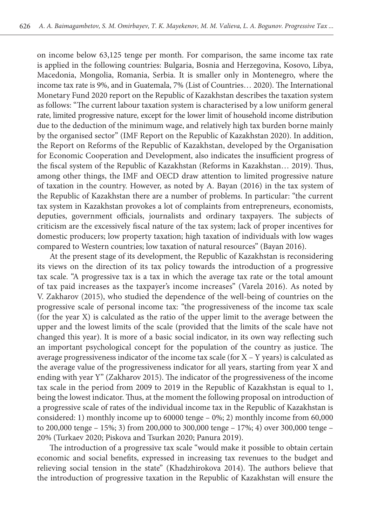on income below 63,125 tenge per month. For comparison, the same income tax rate is applied in the following countries: Bulgaria, Bosnia and Herzegovina, Kosovo, Libya, Macedonia, Mongolia, Romania, Serbia. It is smaller only in Montenegro, where the income tax rate is 9%, and in Guatemala, 7% (List of Countries… 2020). The International Monetary Fund 2020 report on the Republic of Kazakhstan describes the taxation system as follows: "The current labour taxation system is characterised by a low uniform general rate, limited progressive nature, except for the lower limit of household income distribution due to the deduction of the minimum wage, and relatively high tax burden borne mainly by the organised sector" (IMF Report on the Republic of Kazakhstan 2020). In addition, the Report on Reforms of the Republic of Kazakhstan, developed by the Organisation for Economic Cooperation and Development, also indicates the insufficient progress of the fiscal system of the Republic of Kazakhstan (Reforms in Kazakhstan… 2019). Thus, among other things, the IMF and OECD draw attention to limited progressive nature of taxation in the country. However, as noted by A. Bayan (2016) in the tax system of the Republic of Kazakhstan there are a number of problems. In particular: "the current tax system in Kazakhstan provokes a lot of complaints from entrepreneurs, economists, deputies, government officials, journalists and ordinary taxpayers. The subjects of criticism are the excessively fiscal nature of the tax system; lack of proper incentives for domestic producers; low property taxation; high taxation of individuals with low wages compared to Western countries; low taxation of natural resources" (Bayan 2016).

At the present stage of its development, the Republic of Kazakhstan is reconsidering its views on the direction of its tax policy towards the introduction of a progressive tax scale. "A progressive tax is a tax in which the average tax rate or the total amount of tax paid increases as the taxpayer's income increases" (Varela 2016). As noted by V. Zakharov (2015), who studied the dependence of the well-being of countries on the progressive scale of personal income tax: "the progressiveness of the income tax scale (for the year X) is calculated as the ratio of the upper limit to the average between the upper and the lowest limits of the scale (provided that the limits of the scale have not changed this year). It is more of a basic social indicator, in its own way reflecting such an important psychological concept for the population of the country as justice. The average progressiveness indicator of the income tax scale (for X – Y years) is calculated as the average value of the progressiveness indicator for all years, starting from year X and ending with year Y" (Zakharov 2015). The indicator of the progressiveness of the income tax scale in the period from 2009 to 2019 in the Republic of Kazakhstan is equal to 1, being the lowest indicator. Thus, at the moment the following proposal on introduction of a progressive scale of rates of the individual income tax in the Republic of Kazakhstan is considered: 1) monthly income up to 60000 tenge –  $0\%$ ; 2) monthly income from 60,000 to 200,000 tenge – 15%; 3) from 200,000 to 300,000 tenge – 17%; 4) over 300,000 tenge – 20% (Turkaev 2020; Piskova and Tsurkan 2020; Panura 2019).

The introduction of a progressive tax scale "would make it possible to obtain certain economic and social benefits, expressed in increasing tax revenues to the budget and relieving social tension in the state" (Khadzhirokova 2014). The authors believe that the introduction of progressive taxation in the Republic of Kazakhstan will ensure the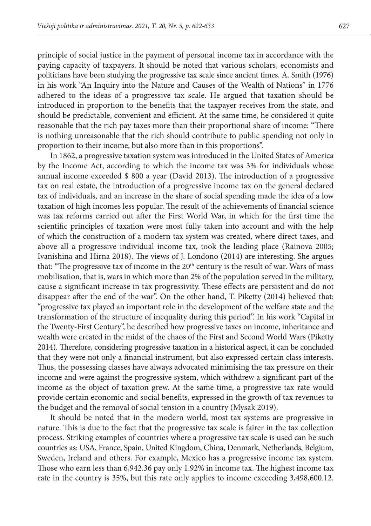principle of social justice in the payment of personal income tax in accordance with the paying capacity of taxpayers. It should be noted that various scholars, economists and politicians have been studying the progressive tax scale since ancient times. A. Smith (1976) in his work "An Inquiry into the Nature and Causes of the Wealth of Nations" in 1776 adhered to the ideas of a progressive tax scale. He argued that taxation should be introduced in proportion to the benefits that the taxpayer receives from the state, and should be predictable, convenient and efficient. At the same time, he considered it quite reasonable that the rich pay taxes more than their proportional share of income: "There is nothing unreasonable that the rich should contribute to public spending not only in proportion to their income, but also more than in this proportions".

In 1862, a progressive taxation system was introduced in the United States of America by the Income Act, according to which the income tax was 3% for individuals whose annual income exceeded \$ 800 a year (David 2013). The introduction of a progressive tax on real estate, the introduction of a progressive income tax on the general declared tax of individuals, and an increase in the share of social spending made the idea of a low taxation of high incomes less popular. The result of the achievements of financial science was tax reforms carried out after the First World War, in which for the first time the scientific principles of taxation were most fully taken into account and with the help of which the construction of a modern tax system was created, where direct taxes, and above all a progressive individual income tax, took the leading place (Rainova 2005; Ivanishina and Hirna 2018). The views of J. Londono (2014) are interesting. She argues that: "The progressive tax of income in the 20<sup>th</sup> century is the result of war. Wars of mass mobilisation, that is, wars in which more than 2% of the population served in the military, cause a significant increase in tax progressivity. These effects are persistent and do not disappear after the end of the war". On the other hand, T. Piketty (2014) believed that: "progressive tax played an important role in the development of the welfare state and the transformation of the structure of inequality during this period". In his work "Capital in the Twenty-First Century", he described how progressive taxes on income, inheritance and wealth were created in the midst of the chaos of the First and Second World Wars (Piketty 2014). Therefore, considering progressive taxation in a historical aspect, it can be concluded that they were not only a financial instrument, but also expressed certain class interests. Thus, the possessing classes have always advocated minimising the tax pressure on their income and were against the progressive system, which withdrew a significant part of the income as the object of taxation grew. At the same time, a progressive tax rate would provide certain economic and social benefits, expressed in the growth of tax revenues to the budget and the removal of social tension in a country (Mysak 2019).

It should be noted that in the modern world, most tax systems are progressive in nature. This is due to the fact that the progressive tax scale is fairer in the tax collection process. Striking examples of countries where a progressive tax scale is used can be such countries as: USA, France, Spain, United Kingdom, China, Denmark, Netherlands, Belgium, Sweden, Ireland and others. For example, Mexico has a progressive income tax system. Those who earn less than 6,942.36 pay only 1.92% in income tax. The highest income tax rate in the country is 35%, but this rate only applies to income exceeding 3,498,600.12.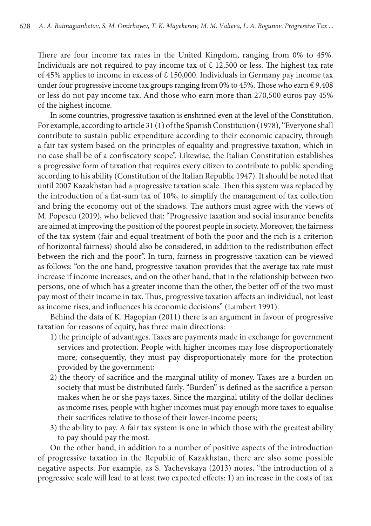There are four income tax rates in the United Kingdom, ranging from 0% to 45%. Individuals are not required to pay income tax of  $\epsilon$  12,500 or less. The highest tax rate of 45% applies to income in excess of  $\epsilon$  150,000. Individuals in Germany pay income tax under four progressive income tax groups ranging from 0% to 45%. Those who earn  $\epsilon$  9,408 or less do not pay income tax. And those who earn more than 270,500 euros pay 45% of the highest income.

In some countries, progressive taxation is enshrined even at the level of the Constitution. For example, according to article 31 (1) of the Spanish Constitution (1978), "Everyone shall contribute to sustain public expenditure according to their economic capacity, through a fair tax system based on the principles of equality and progressive taxation, which in no case shall be of a confiscatory scope". Likewise, the Italian Constitution establishes a progressive form of taxation that requires every citizen to contribute to public spending according to his ability (Constitution of the Italian Republic 1947). It should be noted that until 2007 Kazakhstan had a progressive taxation scale. Then this system was replaced by the introduction of a flat-sum tax of 10%, to simplify the management of tax collection and bring the economy out of the shadows. The authors must agree with the views of M. Popescu (2019), who believed that: "Progressive taxation and social insurance benefits are aimed at improving the position of the poorest people in society. Moreover, the fairness of the tax system (fair and equal treatment of both the poor and the rich is a criterion of horizontal fairness) should also be considered, in addition to the redistribution effect between the rich and the poor". In turn, fairness in progressive taxation can be viewed as follows: "on the one hand, progressive taxation provides that the average tax rate must increase if income increases, and on the other hand, that in the relationship between two persons, one of which has a greater income than the other, the better off of the two must pay most of their income in tax. Thus, progressive taxation affects an individual, not least as income rises, and influences his economic decisions" (Lambert 1991).

Behind the data of K. Hagopian (2011) there is an argument in favour of progressive taxation for reasons of equity, has three main directions:

- 1) the principle of advantages. Taxes are payments made in exchange for government services and protection. People with higher incomes may lose disproportionately more; consequently, they must pay disproportionately more for the protection provided by the government;
- 2) the theory of sacrifice and the marginal utility of money. Taxes are a burden on society that must be distributed fairly. "Burden" is defined as the sacrifice a person makes when he or she pays taxes. Since the marginal utility of the dollar declines as income rises, people with higher incomes must pay enough more taxes to equalise their sacrifices relative to those of their lower-income peers;
- 3) the ability to pay. A fair tax system is one in which those with the greatest ability to pay should pay the most.

On the other hand, in addition to a number of positive aspects of the introduction of progressive taxation in the Republic of Kazakhstan, there are also some possible negative aspects. For example, as S. Yachevskaya (2013) notes, "the introduction of a progressive scale will lead to at least two expected effects: 1) an increase in the costs of tax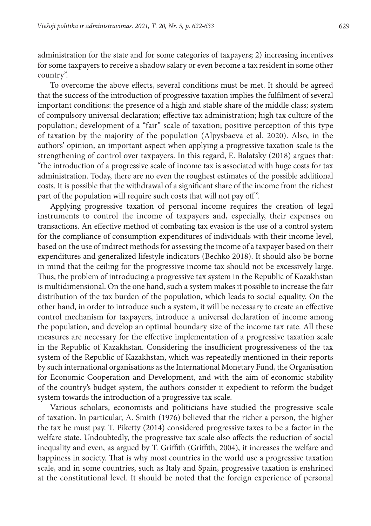administration for the state and for some categories of taxpayers; 2) increasing incentives for some taxpayers to receive a shadow salary or even become a tax resident in some other country".

To overcome the above effects, several conditions must be met. It should be agreed that the success of the introduction of progressive taxation implies the fulfilment of several important conditions: the presence of a high and stable share of the middle class; system of compulsory universal declaration; effective tax administration; high tax culture of the population; development of a "fair" scale of taxation; positive perception of this type of taxation by the majority of the population (Alpysbaeva et al. 2020). Also, in the authors' opinion, an important aspect when applying a progressive taxation scale is the strengthening of control over taxpayers. In this regard, E. Balatsky (2018) argues that: "the introduction of a progressive scale of income tax is associated with huge costs for tax administration. Today, there are no even the roughest estimates of the possible additional costs. It is possible that the withdrawal of a significant share of the income from the richest part of the population will require such costs that will not pay off".

Applying progressive taxation of personal income requires the creation of legal instruments to control the income of taxpayers and, especially, their expenses on transactions. An effective method of combating tax evasion is the use of a control system for the compliance of consumption expenditures of individuals with their income level, based on the use of indirect methods for assessing the income of a taxpayer based on their expenditures and generalized lifestyle indicators (Bechko 2018). It should also be borne in mind that the ceiling for the progressive income tax should not be excessively large. Thus, the problem of introducing a progressive tax system in the Republic of Kazakhstan is multidimensional. On the one hand, such a system makes it possible to increase the fair distribution of the tax burden of the population, which leads to social equality. On the other hand, in order to introduce such a system, it will be necessary to create an effective control mechanism for taxpayers, introduce a universal declaration of income among the population, and develop an optimal boundary size of the income tax rate. All these measures are necessary for the effective implementation of a progressive taxation scale in the Republic of Kazakhstan. Considering the insufficient progressiveness of the tax system of the Republic of Kazakhstan, which was repeatedly mentioned in their reports by such international organisations as the International Monetary Fund, the Organisation for Economic Cooperation and Development, and with the aim of economic stability of the country's budget system, the authors consider it expedient to reform the budget system towards the introduction of a progressive tax scale.

Various scholars, economists and politicians have studied the progressive scale of taxation. In particular, A. Smith (1976) believed that the richer a person, the higher the tax he must pay. T. Piketty (2014) considered progressive taxes to be a factor in the welfare state. Undoubtedly, the progressive tax scale also affects the reduction of social inequality and even, as argued by T. Griffith (Griffith, 2004), it increases the welfare and happiness in society. That is why most countries in the world use a progressive taxation scale, and in some countries, such as Italy and Spain, progressive taxation is enshrined at the constitutional level. It should be noted that the foreign experience of personal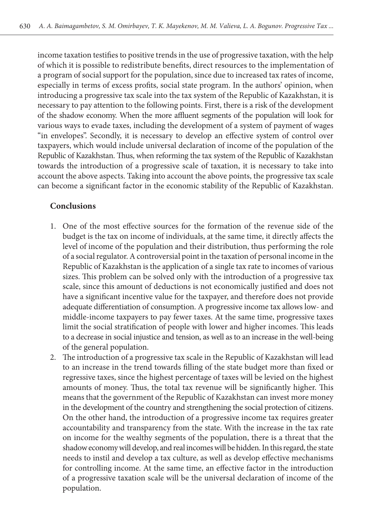income taxation testifies to positive trends in the use of progressive taxation, with the help of which it is possible to redistribute benefits, direct resources to the implementation of a program of social support for the population, since due to increased tax rates of income, especially in terms of excess profits, social state program. In the authors' opinion, when introducing a progressive tax scale into the tax system of the Republic of Kazakhstan, it is necessary to pay attention to the following points. First, there is a risk of the development of the shadow economy. When the more affluent segments of the population will look for various ways to evade taxes, including the development of a system of payment of wages "in envelopes". Secondly, it is necessary to develop an effective system of control over taxpayers, which would include universal declaration of income of the population of the Republic of Kazakhstan. Thus, when reforming the tax system of the Republic of Kazakhstan towards the introduction of a progressive scale of taxation, it is necessary to take into account the above aspects. Taking into account the above points, the progressive tax scale can become a significant factor in the economic stability of the Republic of Kazakhstan.

### **Conclusions**

- 1. One of the most effective sources for the formation of the revenue side of the budget is the tax on income of individuals, at the same time, it directly affects the level of income of the population and their distribution, thus performing the role of a social regulator. A controversial point in the taxation of personal income in the Republic of Kazakhstan is the application of a single tax rate to incomes of various sizes. This problem can be solved only with the introduction of a progressive tax scale, since this amount of deductions is not economically justified and does not have a significant incentive value for the taxpayer, and therefore does not provide adequate differentiation of consumption. A progressive income tax allows low- and middle-income taxpayers to pay fewer taxes. At the same time, progressive taxes limit the social stratification of people with lower and higher incomes. This leads to a decrease in social injustice and tension, as well as to an increase in the well-being of the general population.
- 2. The introduction of a progressive tax scale in the Republic of Kazakhstan will lead to an increase in the trend towards filling of the state budget more than fixed or regressive taxes, since the highest percentage of taxes will be levied on the highest amounts of money. Thus, the total tax revenue will be significantly higher. This means that the government of the Republic of Kazakhstan can invest more money in the development of the country and strengthening the social protection of citizens. On the other hand, the introduction of a progressive income tax requires greater accountability and transparency from the state. With the increase in the tax rate on income for the wealthy segments of the population, there is a threat that the shadow economy will develop, and real incomes will be hidden. In this regard, the state needs to instil and develop a tax culture, as well as develop effective mechanisms for controlling income. At the same time, an effective factor in the introduction of a progressive taxation scale will be the universal declaration of income of the population.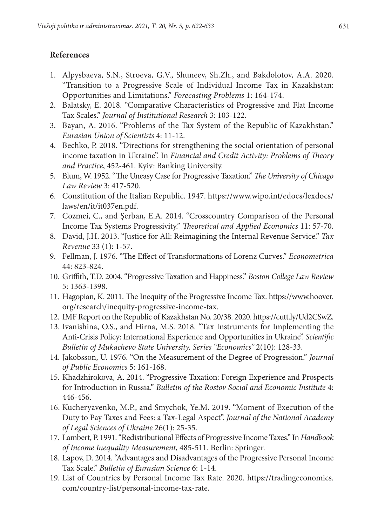## **References**

- 1. Alpysbaeva, S.N., Stroeva, G.V., Shuneev, Sh.Zh., and Bakdolotov, А.А. 2020. "Transition to a Progressive Scale of Individual Income Tax in Kazakhstan: Opportunities and Limitations." *Forecasting Problems* 1: 164-174.
- 2. Balatsky, E. 2018. "Comparative Characteristics of Progressive and Flat Income Tax Scales." *Journal of Institutional Research* 3: 103-122.
- 3. Bayan, A. 2016. "Problems of the Tax System of the Republic of Kazakhstan." *Eurasian Union of Scientists* 4: 11-12.
- 4. Bechko, P. 2018. "Directions for strengthening the social orientation of personal income taxation in Ukraine". In *Financial and Credit Activity: Problems of Theory and Practice*, 452-461. Kyiv: Banking University.
- 5. Blum, W. 1952. "The Uneasy Case for Progressive Taxation." *The University of Chicago Law Review* 3: 417-520.
- 6. Constitution of the Italian Republic. 1947. https://www.wipo.int/edocs/lexdocs/ laws/en/it/it037en.pdf.
- 7. Cozmei, C., and Şerban, E.A. 2014. "Crosscountry Comparison of the Personal Income Tax Systems Progressivity." *Theoretical and Applied Economics* 11: 57-70.
- 8. David, J.H. 2013. "Justice for All: Reimagining the Internal Revenue Service." *Tax Revenue* 33 (1): 1-57.
- 9. Fellman, J. 1976. "The Effect of Transformations of Lorenz Curves." *Econometrica* 44: 823-824.
- 10. Griffith, T.D. 2004. "Progressive Taxation and Happiness." *Boston College Law Review* 5: 1363-1398.
- 11. Hagopian, K. 2011. The Inequity of the Progressive Income Tax. https://www.hoover. org/research/inequity-progressive-income-tax.
- 12. IMF Report on the Republic of Kazakhstan No. 20/38. 2020. https://cutt.ly/Ud2CSwZ.
- 13. Ivanishina, O.S., and Hirna, M.S. 2018. "Tax Instruments for Implementing the Anti-Crisis Policy: International Experience and Opportunities in Ukraine". *Scientific Bulletin of Mukachevo State University. Series "Economics"* 2(10): 128-33.
- 14. Jakobsson, U. 1976. "On the Measurement of the Degree of Progression." *Journal of Public Economics* 5: 161-168.
- 15. Khadzhirokova, А. 2014. "Progressive Taxation: Foreign Experience and Prospects for Introduction in Russia." *Bulletin of the Rostov Social and Economic Institute* 4: 446-456.
- 16. Kucheryavenko, M.P., and Smychok, Ye.M. 2019. "Moment of Execution of the Duty to Pay Taxes and Fees: a Tax-Legal Aspect". *Journal of the National Academy of Legal Sciences of Ukraine* 26(1): 25-35.
- 17. Lambert, Р. 1991. "Redistributional Effects of Progressive Income Taxes." In *Handbook of Income Inequality Measurement*, 485-511. Berlin: Springer.
- 18. Lapov, D. 2014. "Advantages and Disadvantages of the Progressive Personal Income Tax Scale." *Bulletin of Eurasian Science* 6: 1-14.
- 19. List of Countries by Personal Income Tax Rate. 2020. https://tradingeconomics. com/country-list/personal-income-tax-rate.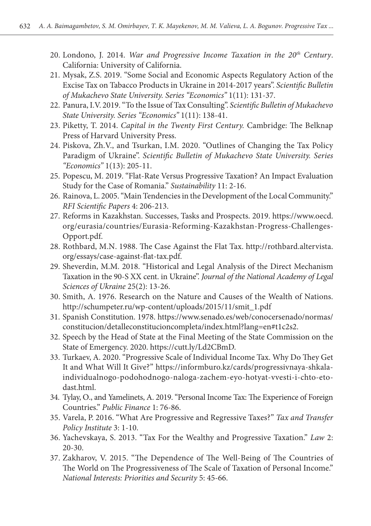- 20. Londono, J. 2014. *War and Progressive Income Taxation in the 20th Century*. California: University of California.
- 21. Mysak, Z.S. 2019. "Some Social and Economic Aspects Regulatory Action of the Excise Tax on Tabacco Products in Ukraine in 2014-2017 years". *Scientific Bulletin of Mukachevo State University. Series "Economics"* 1(11): 131-37.
- 22. Panura, I.V. 2019. "To the Issue of Tax Consulting". *Scientific Bulletin of Mukachevo State University. Series "Economics"* 1(11): 138-41.
- 23. Piketty, T. 2014. *Capital in the Twenty First Century.* Cambridge: The Belknap Press of Harvard University Press.
- 24. Piskova, Zh.V., and Tsurkan, I.M. 2020. "Outlines of Changing the Tax Policy Paradigm of Ukraine". *Scientific Bulletin of Mukachevo State University. Series "Economics"* 1(13): 205-11.
- 25. Popescu, M. 2019. "Flat-Rate Versus Progressive Taxation? An Impact Evaluation Study for the Case of Romania." *Sustainability* 11: 2-16.
- 26. Rainova, L. 2005. "Main Tendencies in the Development of the Local Community." *RFI Scientific Papers* 4: 206-213.
- 27. Reforms in Kazakhstan. Successes, Tasks and Prospects. 2019. https://www.oecd. org/eurasia/countries/Eurasia-Reforming-Kazakhstan-Progress-Challenges-Opport.pdf.
- 28. Rothbard, M.N. 1988. The Case Against the Flat Tax. http://rothbard.altervista. org/essays/case-against-flat-tax.pdf.
- 29. Sheverdin, M.M. 2018. "Historical and Legal Analysis of the Direct Mechanism Taxation in the 90-S XX cent. in Ukraine". *Journal of the National Academy of Legal Sciences of Ukraine* 25(2): 13-26.
- 30. Smith, А. 1976. Research on the Nature and Causes of the Wealth of Nations. http://schumpeter.ru/wp-content/uploads/2015/11/smit\_1.pdf
- 31. Spanish Constitution. 1978. https://www.senado.es/web/conocersenado/normas/ constitucion/detalleconstitucioncompleta/index.html?lang=en#t1c2s2.
- 32. Speech by the Head of State at the Final Meeting of the State Commission on the State of Emergency. 2020. https://cutt.ly/Ld2CBmD.
- 33. Turkaev, А. 2020. "Progressive Scale of Individual Income Tax. Why Do They Get It and What Will It Give?" https://informburo.kz/cards/progressivnaya-shkalaindividualnogo-podohodnogo-naloga-zachem-eyo-hotyat-vvesti-i-chto-etodast.html.
- 34. Tylay, О., and Yamelinets, А. 2019. "Personal Income Tax: The Experience of Foreign Countries." *Public Finance* 1: 76-86.
- 35. Varela, P. 2016. "What Are Progressive and Regressive Taxes?" *Tax and Transfer Policy Institute* 3: 1-10.
- 36. Yachevskaya, S. 2013. "Tax For the Wealthy and Progressive Taxation." *Law* 2: 20-30.
- 37. Zakharov, V. 2015. "The Dependence of The Well-Being of The Countries of The World on The Progressiveness of The Scale of Taxation of Personal Income." *National Interests: Priorities and Security* 5: 45-66.